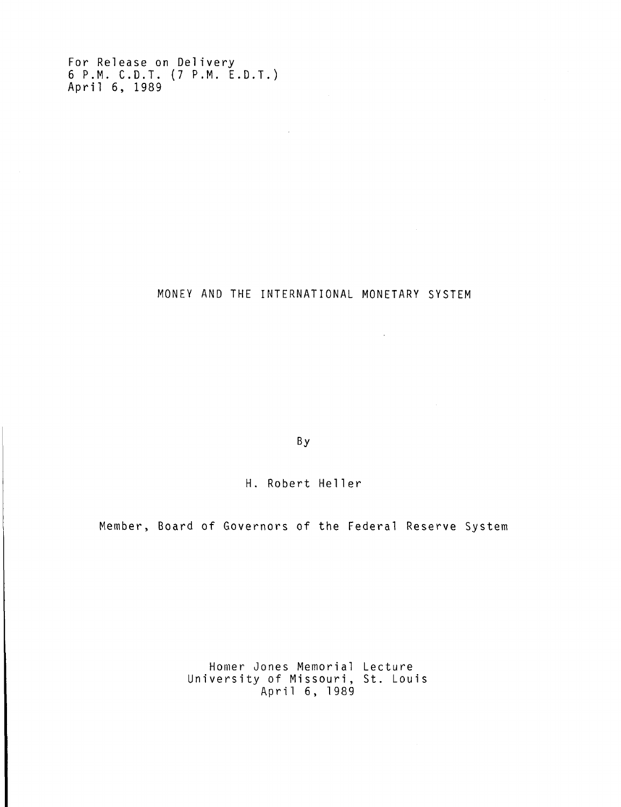For Release on Delivery 6 P.M. C.D.T . (7 P.M. E.D.T. ) April 6, 1989

MONEY AND THE INTERNATIONAL MONETARY SYSTEM

 $\mathcal{L}^{\text{max}}_{\text{max}}$  and  $\mathcal{L}^{\text{max}}_{\text{max}}$ 

 $\sim 10^{11}$ 

By

H. Robert Heller

Member, Board of Governors of the Federal Reserve System

Homer Jones Memorial Lecture University of Missouri, St. Louis April 6, 1989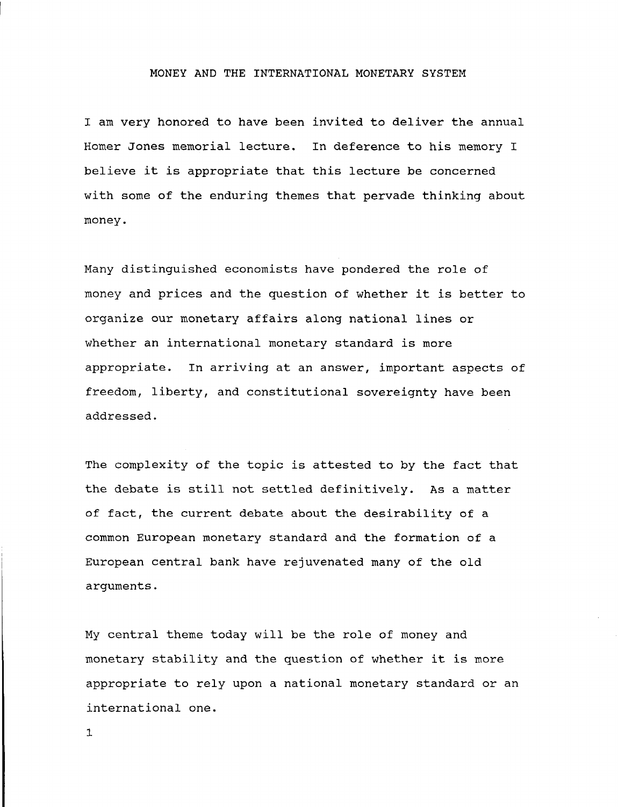#### MONEY AND THE INTERNATIONAL MONETARY SYSTEM

I am very honored to have been invited to deliver the annual Homer Jones memorial lecture. In deference to his memory I believe it is appropriate that this lecture be concerned with some of the enduring themes that pervade thinking about money.

Many distinguished economists have pondered the role of money and prices and the question of whether it is better to organize our monetary affairs along national lines or whether an international monetary standard is more appropriate. In arriving at an answer, important aspects of freedom, liberty, and constitutional sovereignty have been addressed.

The complexity of the topic is attested to by the fact that the debate is still not settled definitively. As a matter of fact, the current debate about the desirability of a common European monetary standard and the formation of a European central bank have rejuvenated many of the old arguments.

My central theme today will be the role of money and monetary stability and the question of whether it is more appropriate to rely upon a national monetary standard or an international one.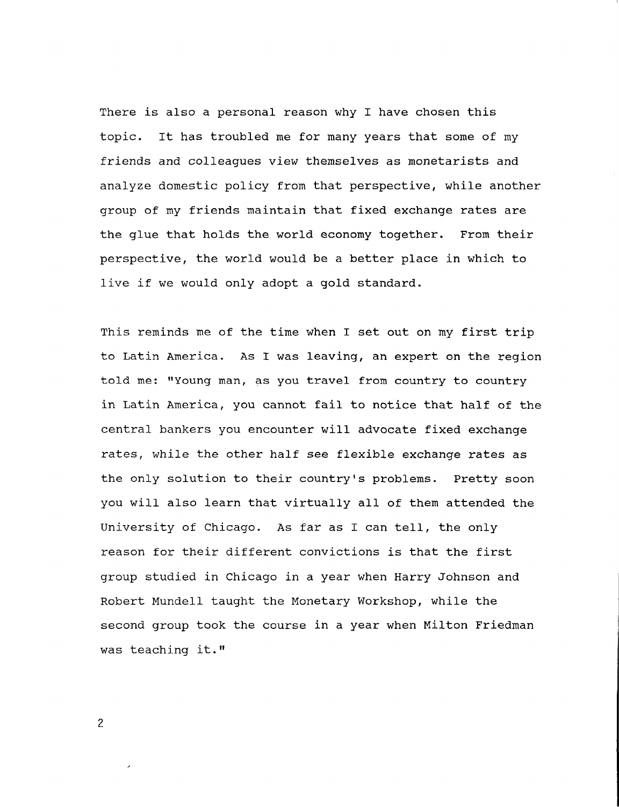There is also a personal reason why I have chosen this topic. It has troubled me for many years that some of my friends and colleagues view themselves as monetarists and analyze domestic policy from that perspective, while another group of my friends maintain that fixed exchange rates are the glue that holds the world economy together. From their perspective, the world would be a better place in which to live if we would only adopt a gold standard.

This reminds me of the time when I set out on my first trip to Latin America. As I was leaving, an expert on the region told me: "Young man, as you travel from country to country in Latin America, you cannot fail to notice that half of the central bankers you encounter will advocate fixed exchange rates, while the other half see flexible exchange rates as the only solution to their country's problems. Pretty soon you will also learn that virtually all of them attended the University of Chicago. As far as I can tell, the only reason for their different convictions is that the first group studied in Chicago in a year when Harry Johnson and Robert Mundell taught the Monetary Workshop, while the second group took the course in a year when Milton Friedman was teaching it."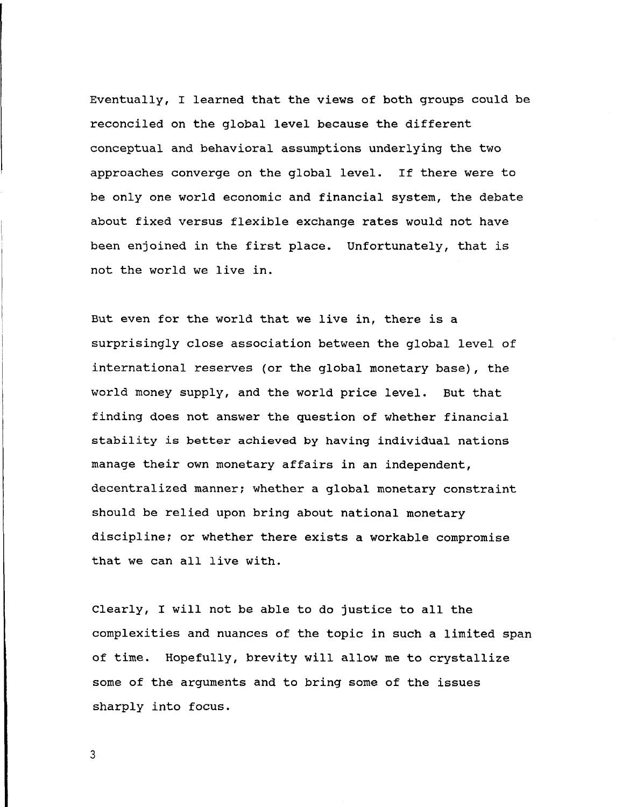**Eventually, I learned that the views of both groups could be reconciled on the global level because the different conceptual and behavioral assumptions underlying the two approaches converge on the global level. If there were to be only one world economic and financial system, the debate about fixed versus flexible exchange rates would not have been enjoined in the first place. Unfortunately, that is not the world we live in.**

**But even for the world that we live in, there is a surprisingly close association between the global level of international reserves (or the global monetary base), the world money supply, and the world price level. But that finding does not answer the question of whether financial stability is better achieved by having individual nations manage their own monetary affairs in an independent, decentralized manner; whether a global monetary constraint should be relied upon bring about national monetary discipline; or whether there exists a workable compromise that we can all live with.**

**Clearly, I will not be able to do justice to all the complexities and nuances of the topic in such a limited span of time. Hopefully, brevity will allow me to crystallize some of the arguments and to bring some of the issues sharply into focus.**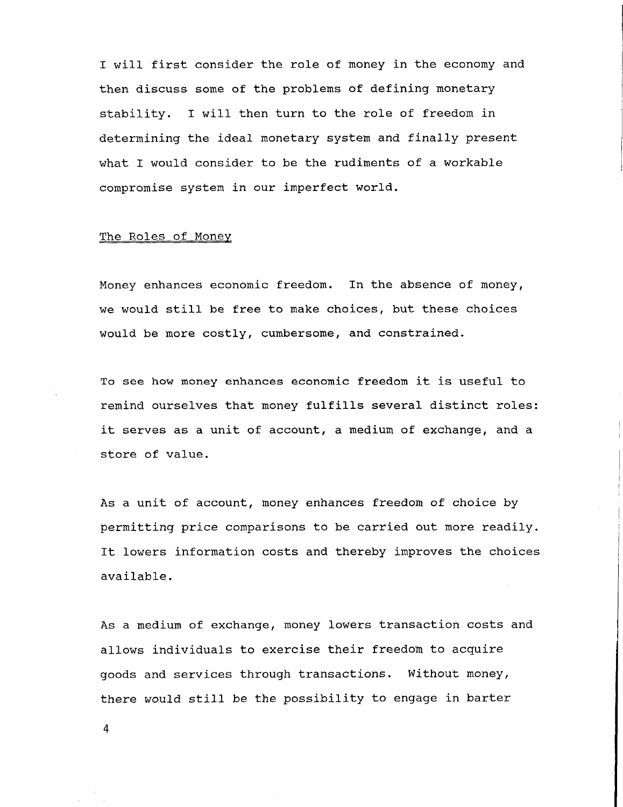I will first consider the role of money in the economy and then discuss some of the problems of defining monetary stability. I will then turn to the role of freedom in determining the ideal monetary system and finally present what I would consider to be the rudiments of a workable compromise system in our imperfect world.

#### The Roles of Money

Money enhances economic freedom. In the absence of money, we would still be free to make choices, but these choices would be more costly, cumbersome, and constrained.

To see how money enhances economic freedom it is useful to remind ourselves that money fulfills several distinct roles: it serves as a unit of account, a medium of exchange, and a store of value.

As a unit of account, money enhances freedom of choice by permitting price comparisons to be carried out more readily. It lowers information costs and thereby improves the choices available.

As a medium of exchange, money lowers transaction costs and allows individuals to exercise their freedom to acquire goods and services through transactions. Without money, there would still be the possibility to engage in barter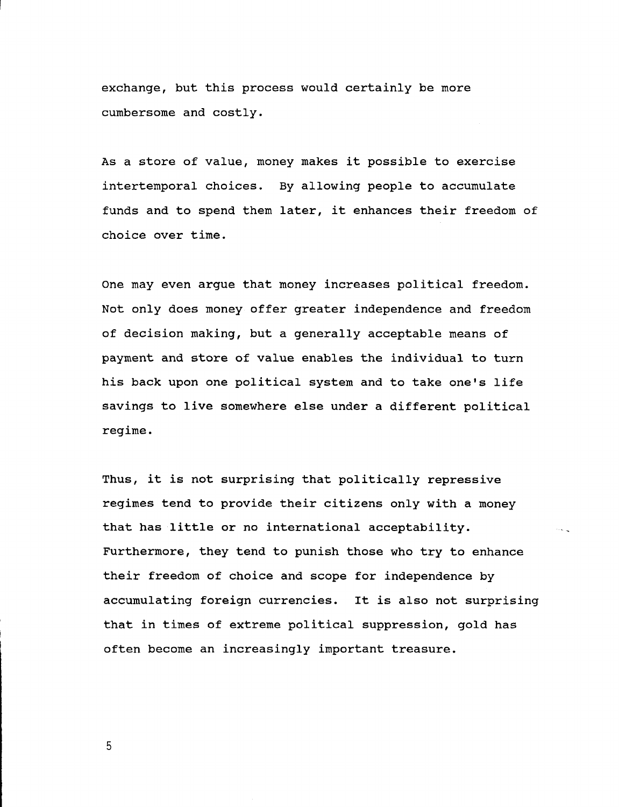**exchange, but this process would certainly be more cumbersome and costly.**

**As a store of value, money makes it possible to exercise intertemporal choices. By allowing people to accumulate funds and to spend them later, it enhances their freedom of choice over time.**

**One may even argue that money increases political freedom. Not only does money offer greater independence and freedom of decision making, but a generally acceptable means of payment and store of value enables the individual to turn his back upon one political system and to take one's life savings to live somewhere else under a different political regime.**

**Thus, it is not surprising that politically repressive regimes tend to provide their citizens only with a money that has little or no international acceptability. Furthermore, they tend to punish those who try to enhance their freedom of choice and scope for independence by accumulating foreign currencies. It is also not surprising that in times of extreme political suppression, gold has often become an increasingly important treasure.**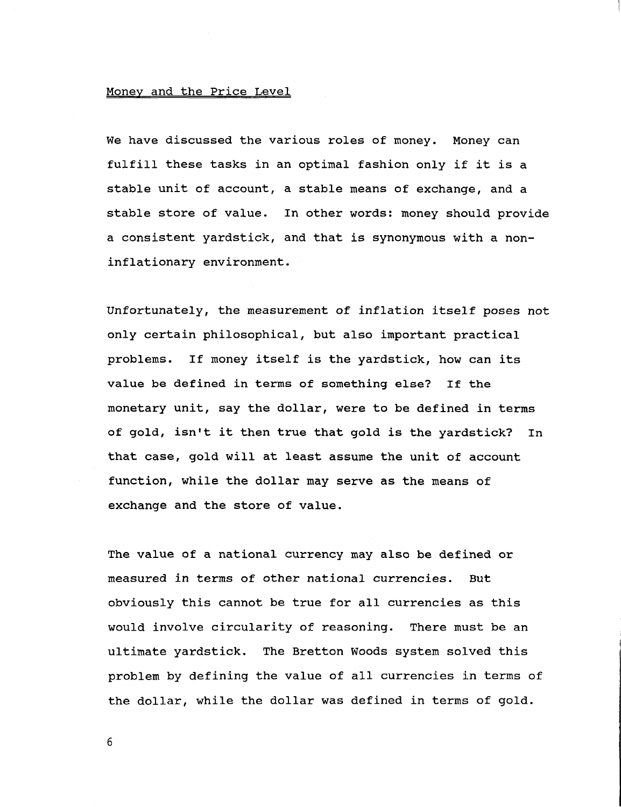# **Money and the Price Level**

**We have discussed the various roles of money. Money can fulfill these tasks in an optimal fashion only if it is a stable unit of account, a stable means of exchange, and a stable store of value. In other words: money should provide a consistent yardstick, and that is synonymous with a noninflationary environment.**

**Unfortunately, the measurement of inflation itself poses not only certain philosophical, but also important practical problems. If money itself is the yardstick, how can its value be defined in terms of something else? If the monetary unit, say the dollar, were to be defined in terms of gold, isn't it then true that gold is the yardstick? In that case, gold will at least assume the unit of account function, while the dollar may serve as the means of exchange and the store of value.**

**The value of a national currency may also be defined or measured in terms of other national currencies. But obviously this cannot be true for all currencies as this would involve circularity of reasoning. There must be an ultimate yardstick. The Bretton Woods system solved this problem by defining the value of all currencies in terms of the dollar, while the dollar was defined in terms of gold.**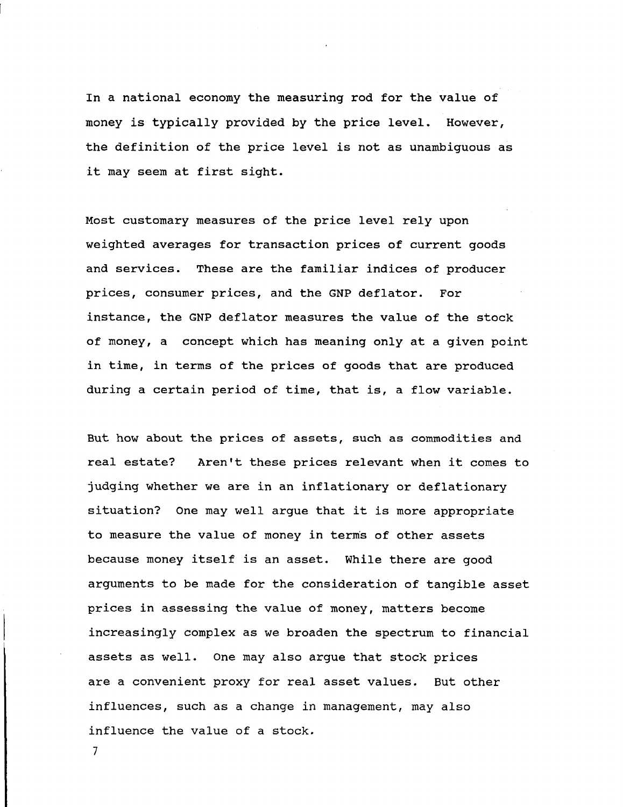**In a national economy the measuring rod for the value of money is typically provided by the price level. However, the definition of the price level is not as unambiguous as it may seem at first sight.**

**Most customary measures of the price level rely upon weighted averages for transaction prices of current goods and services. These are the familiar indices of producer prices, consumer prices, and the GNP deflator. For instance, the GNP deflator measures the value of the stock of money, a concept which has meaning only at a given point in time, in terms of the prices of goods that are produced during a certain period of time, that is, a flow variable.**

**But how about the prices of assets, such as commodities and real estate? Aren't these prices relevant when it comes to judging whether we are in an inflationary or deflationary situation? One may well argue that it is more appropriate to measure the value of money in term's of other assets because money itself is an asset. While there are good arguments to be made for the consideration of tangible asset prices in assessing the value of money, matters become increasingly complex as we broaden the spectrum to financial assets as well. One may also argue that stock prices are a convenient proxy for real asset values. But other influences, such as a change in management, may also influence the value of a stock.**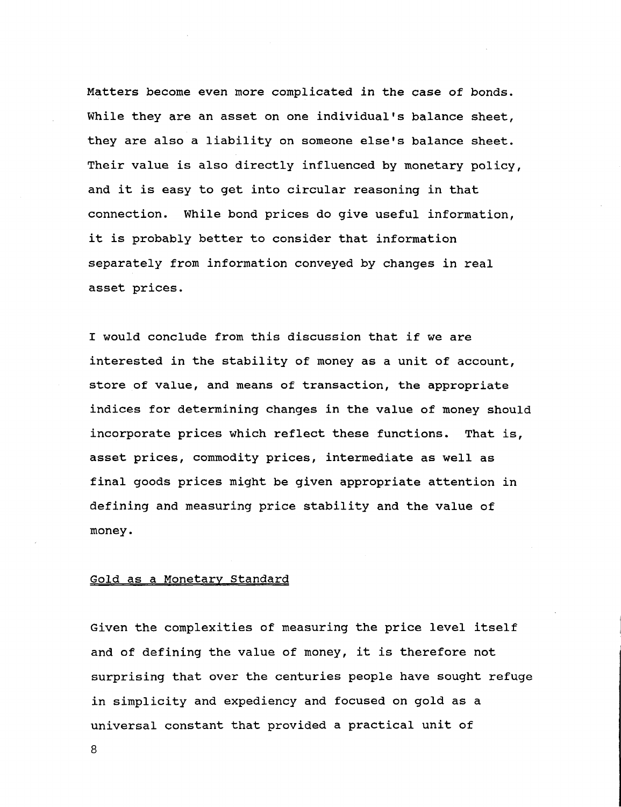**Matters become even more complicated in the case of bonds. While they are an asset on one individual's balance sheet, they are also a liability on someone else's balance sheet. Their value is also directly influenced by monetary policy, and it is easy to get into circular reasoning in that connection. While bond prices do give useful information, it is probably better to consider that information separately from information conveyed by changes in real asset prices.**

**I would conclude from this discussion that if we are interested in the stability of money as a unit of account, store of value, and means of transaction, the appropriate indices for determining changes in the value of money should incorporate prices which reflect these functions. That is, asset prices, commodity prices, intermediate as well as final goods prices might be given appropriate attention in defining and measuring price stability and the value of money.**

# **Gold as a Monetary Standard**

**Given the complexities of measuring the price level itself and of defining the value of money, it is therefore not surprising that over the centuries people have sought refuge in simplicity and expediency and focused on gold as a universal constant that provided a practical unit of**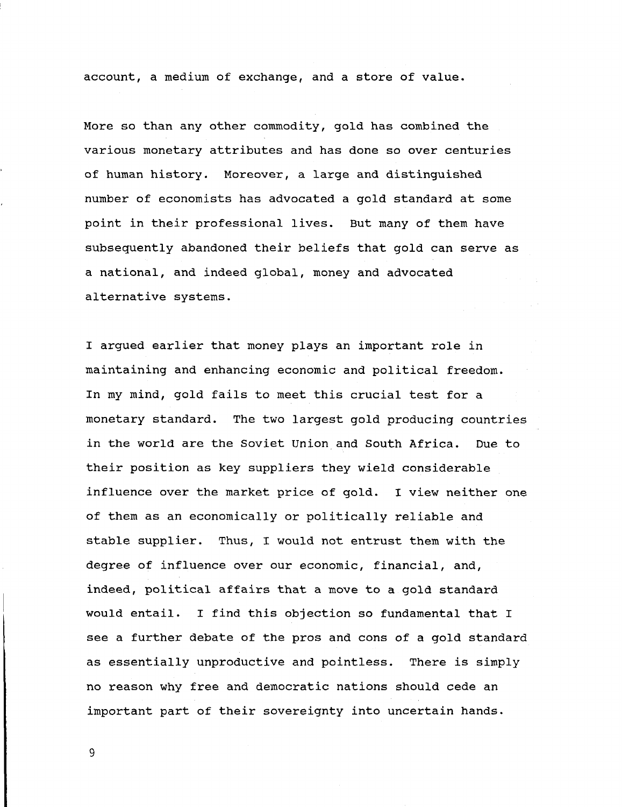**account, a medium of exchange, and a store of value.**

**More so than any other commodity, gold has combined the various monetary attributes and has done so over centuries of human history. Moreover, a large and distinguished number of economists has advocated a gold standard at some point in their professional lives. But many of them have subsequently abandoned their beliefs that gold can serve as a national, and indeed global, money and advocated alternative systems.**

**I argued earlier that money plays an important role in maintaining and enhancing economic and political freedom. In my mind, gold fails to meet this crucial test for a monetary standard. The two largest gold producing countries in the world are the Soviet Union and South Africa. Due to their position as key suppliers they wield considerable influence over the market price of gold. I view neither one of them as an economically or politically reliable and stable supplier. Thus, I would not entrust them with the degree of influence over our economic, financial, and, indeed, political affairs that a move to a gold standard would entail. I find this objection so fundamental that I see a further debate of the pros and cons of a gold standard as essentially unproductive and pointless. There is simply no reason why free and democratic nations should cede an important part of their sovereignty into uncertain hands.**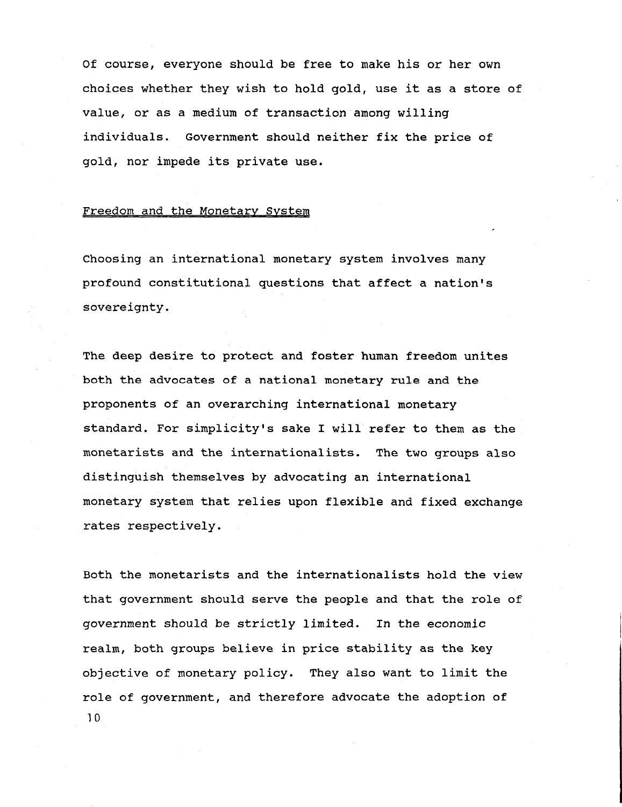**Of course, everyone should be free to make his or her own choices whether they wish to hold gold, use it as a store of value, or as a medium of transaction among willing individuals. Government should neither fix the price of gold, nor impede its private use.**

### **Freedom and the Monetary System**

**Choosing an international monetary system involves many profound constitutional questions that affect a nation's sovereignty.**

**The deep desire to protect and foster human freedom unites both the advocates of a national monetary rule and the proponents of an overarching international monetary standard. For simplicity's sake I will refer to them as the monetarists and the internationalists. The two groups also distinguish themselves by advocating an international monetary system that relies upon flexible and fixed exchange rates respectively.**

**Both the monetarists and the internationalists hold the view that government should serve the people and that the role of government should be strictly limited. In the economic realm, both groups believe in price stability as the key objective of monetary policy. They also want to limit the role of government, and therefore advocate the adoption of 10**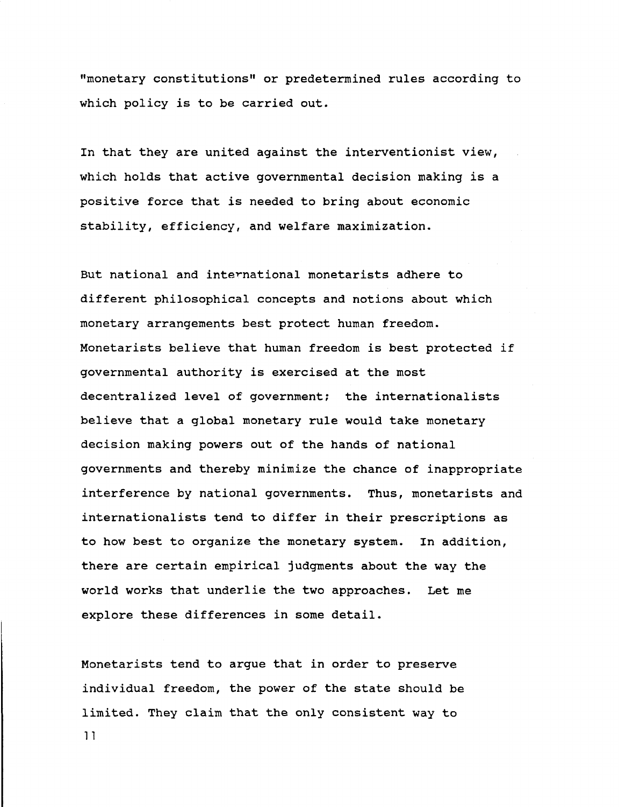**"monetary constitutions" or predetermined rules according to which policy is to be carried out.**

**In that they are united against the interventionist view, which holds that active governmental decision making is a positive force that is needed to bring about economic stability, efficiency, and welfare maximization.**

**But national and international monetarists adhere to different philosophical concepts and notions about which monetary arrangements best protect human freedom. Monetarists believe that human freedom is best protected if governmental authority is exercised at the most decentralized level of government; the internationalists believe that a global monetary rule would take monetary decision making powers out of the hands of national governments and thereby minimize the chance of inappropriate interference by national governments. Thus, monetarists and internationalists tend to differ in their prescriptions as to how best to organize the monetary system. In addition, there are certain empirical judgments about the way the world works that underlie the two approaches. Let me explore these differences in some detail.**

**Monetarists tend to argue that in order to preserve individual freedom, the power of the state should be limited. They claim that the only consistent way to 11**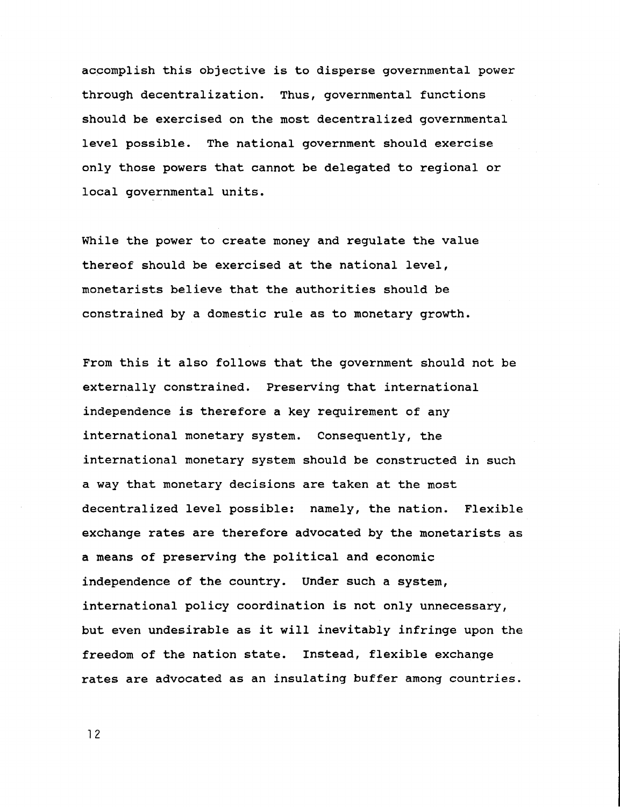**accomplish this objective is to disperse governmental power through decentralization. Thus, governmental functions should be exercised on the most decentralized governmental level possible. The national government should exercise only those powers that cannot be delegated to regional or local governmental units.**

**While the power to create money and regulate the value thereof should be exercised at the national level, monetarists believe that the authorities should be constrained by a domestic rule as to monetary growth.**

**From this it also follows that the government should not be externally constrained. Preserving that international independence is therefore a key requirement of any international monetary system. Consequently, the international monetary system should be constructed in such a way that monetary decisions are taken at the most decentralized level possible: namely, the nation. Flexible exchange rates are therefore advocated by the monetarists as a means of preserving the political and economic independence of the country. Under such a system, international policy coordination is not only unnecessary, but even undesirable as it will inevitably infringe upon the freedom of the nation state. Instead, flexible exchange rates are advocated as an insulating buffer among countries.**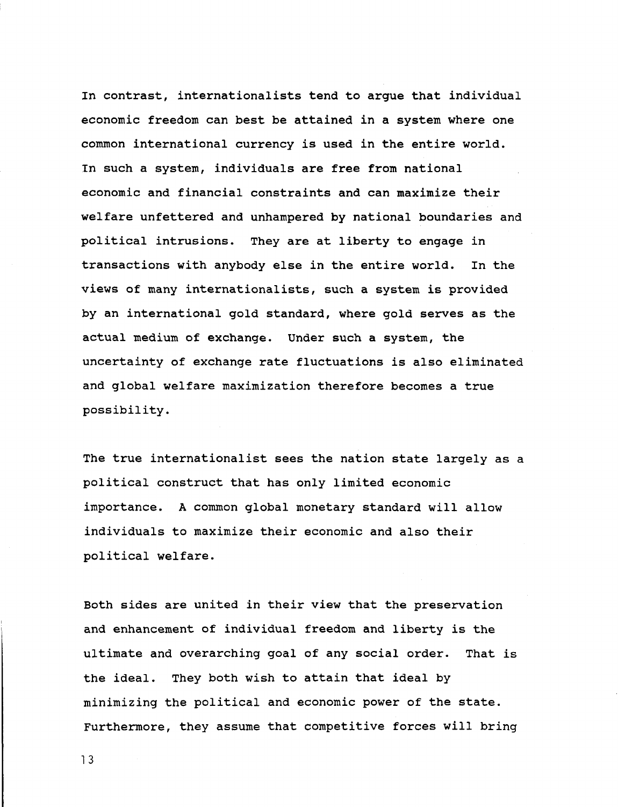**In contrast, internationalists tend to argue that individual economic freedom can best be attained in a system where one common international currency is used in the entire world. In such a system, individuals are free from national economic and financial constraints and can maximize their welfare unfettered and unhampered by national boundaries and political intrusions. They are at liberty to engage in transactions with anybody else in the entire world. In the views of many internationalists, such a system is provided by an international gold standard, where gold serves as the actual medium of exchange. Under such a system, the uncertainty of exchange rate fluctuations is also eliminated and global welfare maximization therefore becomes a true possibility.**

**The true internationalist sees the nation state largely as a political construct that has only limited economic importance. A common global monetary standard will allow individuals to maximize their economic and also their political welfare.**

**Both sides are united in their view that the preservation and enhancement of individual freedom and liberty is the ultimate and overarching goal of any social order. That is the ideal. They both wish to attain that ideal by minimizing the political and economic power of the state. Furthermore, they assume that competitive forces will bring**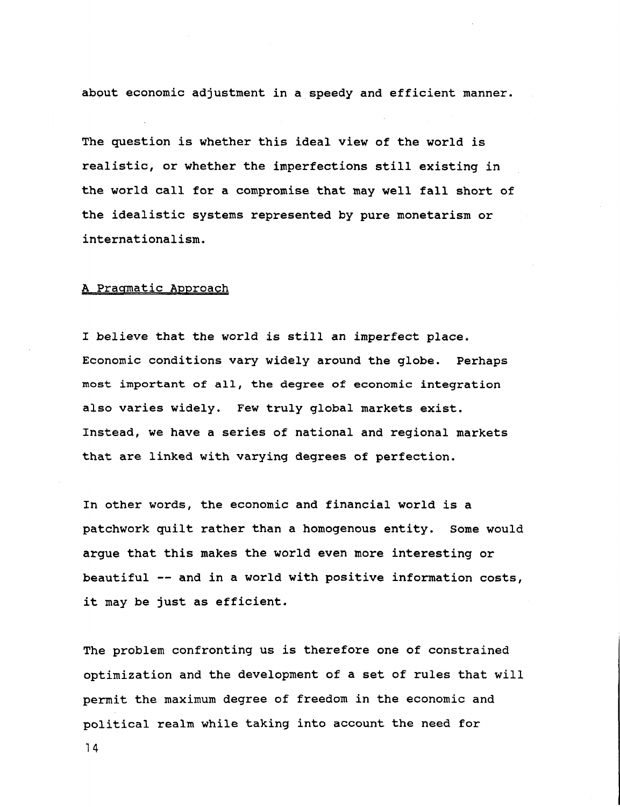**about economic adjustment in a speedy and efficient manner.**

**The question is whether this ideal view of the world is realistic, or whether the imperfections still existing in the world call for a compromise that may well fall short of the idealistic systems represented by pure monetarism or internationalism.**

## **A Pragmatic Approach**

**I believe that the world is still an imperfect place. Economic conditions vary widely around the globe. Perhaps most important of all, the degree of economic integration also varies widely. Few truly global markets exist. Instead, we have a series of national and regional markets that are linked with varying degrees of perfection.**

**In other words, the economic and financial world is a patchwork quilt rather than a homogenous entity. Some would argue that this makes the world even more interesting or beautiful — and in a world with positive information costs, it may be just as efficient.**

**The problem confronting us is therefore one of constrained optimization and the development of a set of rules that will permit the maximum degree of freedom in the economic and political realm while taking into account the need for**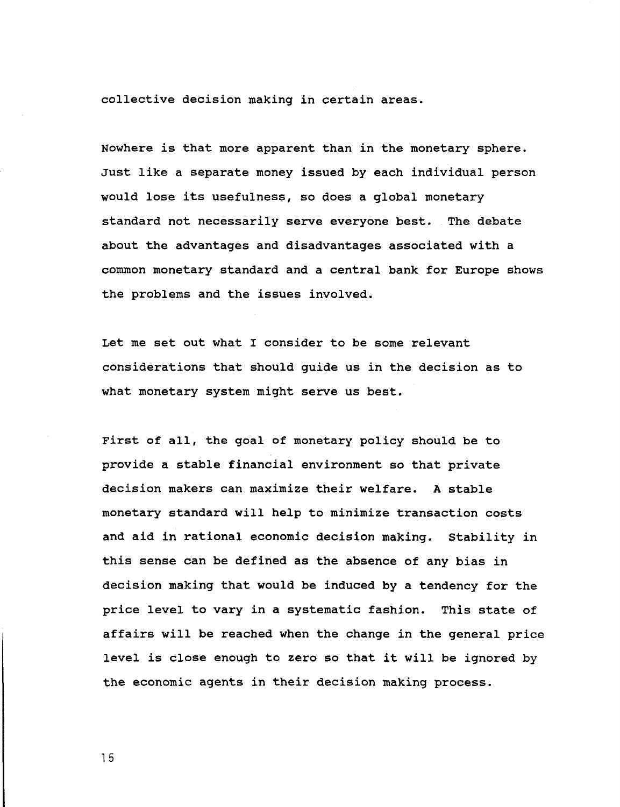**collective decision making in certain areas.**

**Nowhere is that more apparent than in the monetary sphere. Just like a separate money issued by each individual person would lose its usefulness, so does a global monetary standard not necessarily serve everyone best. The debate about the advantages and disadvantages associated with a common monetary standard and a central bank for Europe shows the problems and the issues involved.**

**Let me set out what I consider to be some relevant considerations that should guide us in the decision as to what monetary system might serve us best.**

**First of all, the goal of monetary policy should be to provide a stable financial environment so that private decision makers can maximize their welfare. A stable monetary standard will help to minimize transaction costs and aid in rational economic decision making. Stability in this sense can be defined as the absence of any bias in decision making that would be induced by a tendency for the price level to vary in a systematic fashion. This state of affairs will be reached when the change in the general price level is close enough to zero so that it will be ignored by the economic agents in their decision making process.**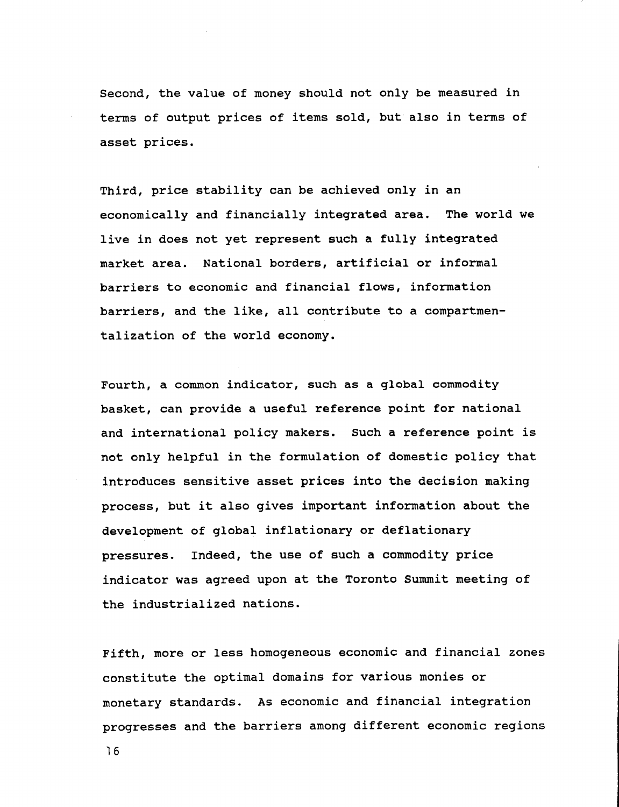**Second, the value of money should not only be measured in terms of output prices of items sold, but also in terms of asset prices.**

**Third, price stability can be achieved only in an economically and financially integrated area. The world we live in does not yet represent such a fully integrated market area. National borders, artificial or informal barriers to economic and financial flows, information barriers, and the like, all contribute to a compartmentalization of the world economy.**

**Fourth, a common indicator, such as a global commodity basket, can provide a useful reference point for national and international policy makers. Such a reference point is not only helpful in the formulation of domestic policy that introduces sensitive asset prices into the decision making process, but it also gives important information about the development of global inflationary or deflationary pressures. Indeed, the use of such a commodity price indicator was agreed upon at the Toronto Summit meeting of the industrialized nations.**

**Fifth, more or less homogeneous economic and financial zones constitute the optimal domains for various monies or monetary standards. As economic and financial integration progresses and the barriers among different economic regions**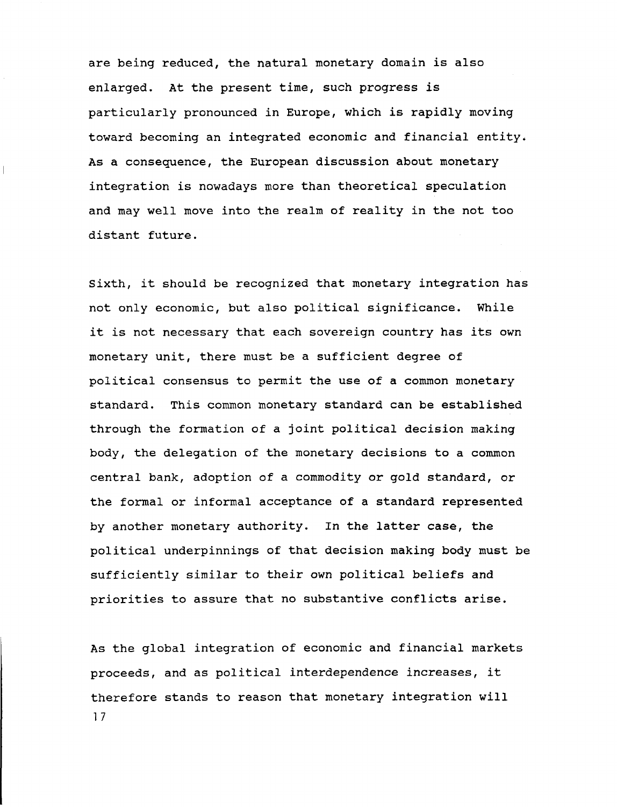**are being reduced, the natural monetary domain is also enlarged. At the present time, such progress is particularly pronounced in Europe, which is rapidly moving toward becoming an integrated economic and financial entity\* As a consequence, the European discussion about monetary integration is nowadays more than theoretical speculation and may well move into the realm of reality in the not too distant future.**

 $\mathbf{L}$ 

**Sixth, it should be recognized that monetary integration has not only economic, but also political significance. While it is not necessary that each sovereign country has its own monetary unit, there must be a sufficient degree of political consensus to permit the use of a common monetary standard. This common monetary standard can be established through the formation of a joint political decision making body, the delegation of the monetary decisions to a common central bank, adoption of a commodity or gold standard, or the formal or informal acceptance of a standard represented by another monetary authority. In the latter case, the political underpinnings of that decision making body must be sufficiently similar to their own political beliefs and priorities to assure that no substantive conflicts arise.**

**As the global integration of economic and financial markets proceeds, and as political interdependence increases, it therefore stands to reason that monetary integration will 1 7**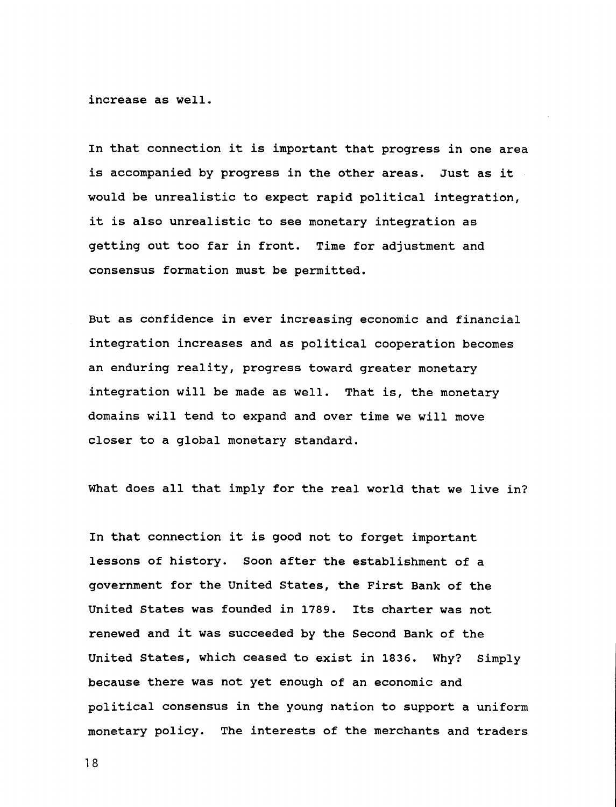**increase as well.**

**In that connection it is important that progress in one area is accompanied by progress in the other areas. Just as it would be unrealistic to expect rapid political integration, it is also unrealistic to see monetary integration as getting out too far in front. Time for adjustment and consensus formation must be permitted.**

**But as confidence in ever increasing economic and financial integration increases and as political cooperation becomes an enduring reality, progress toward greater monetary integration will be made as well. That is, the monetary domains will tend to expand and over time we will move closer to a global monetary standard.**

**What does all that imply for the real world that we live in?**

**In that connection it is good not to forget important lessons of history. Soon after the establishment of a government for the United States, the First Bank of the United States was founded in 1789. Its charter was not renewed and it was succeeded by the Second Bank of the United States, which ceased to exist in 1836. Why? Simply because there was not yet enough of an economic and political consensus in the young nation to support a uniform monetary policy. The interests of the merchants and traders**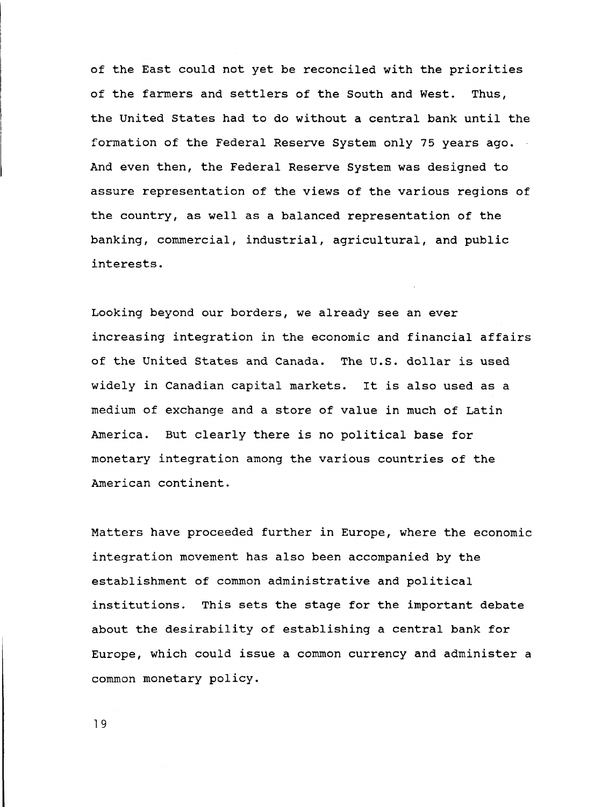**of the East could not yet be reconciled with the priorities of the farmers and settlers of the South and West. Thus, the United States had to do without a central bank until the formation of the Federal Reserve System only 75 years ago. And even then, the Federal Reserve System was designed to assure representation of the views of the various regions of the country, as well as a balanced representation of the banking, commercial, industrial, agricultural, and public interests.**

**Looking beyond our borders, we already see an ever increasing integration in the economic and financial affairs of the United States and Canada. The U.S. dollar is used widely in Canadian capital markets. It is also used as a medium of exchange and a store of value in much of Latin America. But clearly there is no political base for monetary integration among the various countries of the American continent.**

**Matters have proceeded further in Europe, where the economic integration movement has also been accompanied by the establishment of common administrative and political institutions. This sets the stage for the important debate about the desirability of establishing a central bank for Europe, which could issue a common currency and administer a common monetary policy.**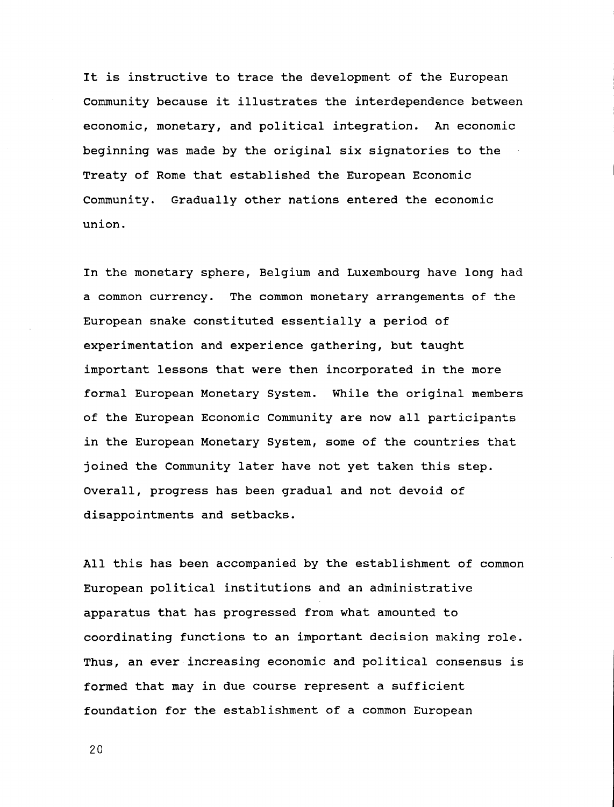**It is instructive to trace the development of the European Community because it illustrates the interdependence between economic, monetary, and political integration. An economic beginning was made by the original six signatories to the Treaty of Rome that established the European Economic Community. Gradually other nations entered the economic union.**

**In the monetary sphere, Belgium and Luxembourg have long had a common currency. The common monetary arrangements of the European snake constituted essentially a period of experimentation and experience gathering, but taught important lessons that were then incorporated in the more formal European Monetary System. While the original members of the European Economic Community are now all participants in the European Monetary System, some of the countries that joined the Community later have not yet taken this step. Overall, progress has been gradual and not devoid of disappointments and setbacks.**

**All this has been accompanied by the establishment of common European political institutions and an administrative apparatus that has progressed from what amounted to coordinating functions to an important decision making role. Thus, an ever increasing economic and political consensus is formed that may in due course represent a sufficient foundation for the establishment of a common European**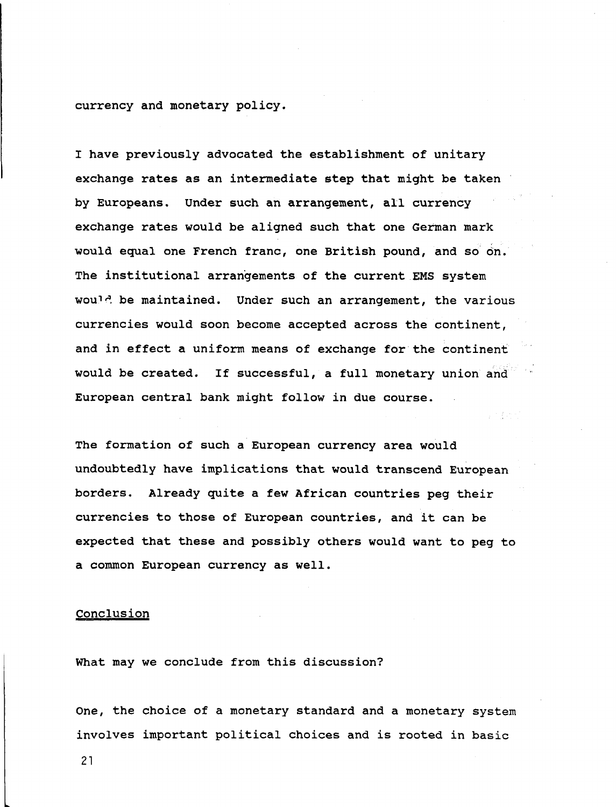**currency and monetary policy.**

**I have previously advocated the establishment of unitary exchange rates as an intermediate step that might be taken by Europeans. Under such an arrangement, all currency exchange rates would be aligned such that one German mark would equal one French franc, one British pound, and so on. The institutional arrangements of the current EMS system wou"<sup>1</sup>''. be maintained. Under such an arrangement, the various currencies would soon become accepted across the continent, and in effect a uniform means of exchange for the continent would be created. If successful, a full monetary union and European central bank might follow in due course.**

**The formation of such a European currency area would undoubtedly have implications that would transcend European borders. Already quite a few African countries peg their currencies to those of European countries, and it can be expected that these and possibly others would want to peg to a common European currency as well.**

### **Conclusion**

**What may we conclude from this discussion?**

**One, the choice of a monetary standard and a monetary system involves important political choices and is rooted in basic**